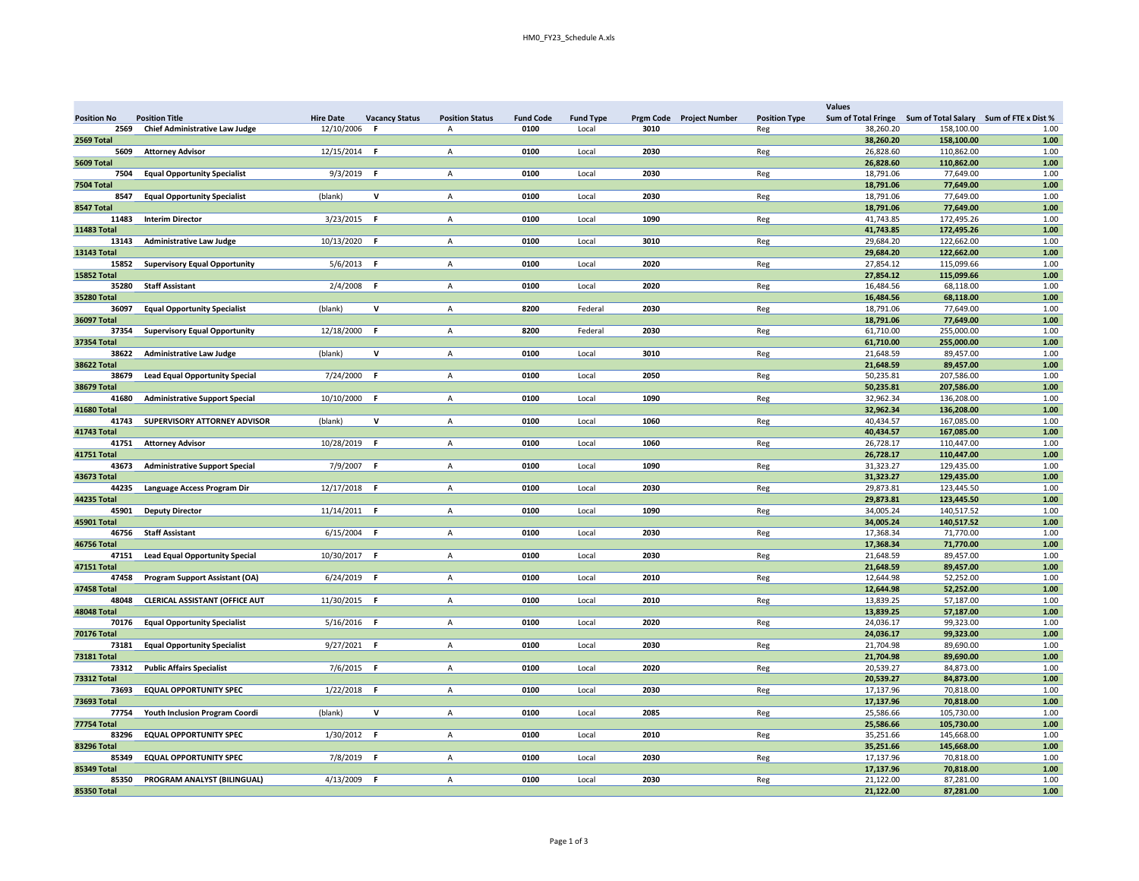|                    |                                       |                                           |                        |                  |                  |                          |                      | <b>Values</b>                                               |            |      |
|--------------------|---------------------------------------|-------------------------------------------|------------------------|------------------|------------------|--------------------------|----------------------|-------------------------------------------------------------|------------|------|
| Position No        | <b>Position Title</b>                 | <b>Hire Date</b><br><b>Vacancy Status</b> | <b>Position Status</b> | <b>Fund Code</b> | <b>Fund Type</b> | Prgm Code Project Number | <b>Position Type</b> | Sum of Total Fringe Sum of Total Salary Sum of FTE x Dist % |            |      |
| 2569               | <b>Chief Administrative Law Judge</b> | 12/10/2006                                | A                      | 0100             | Local            | 3010                     | Reg                  | 38,260.20                                                   | 158,100.00 | 1.00 |
| 2569 Total         |                                       |                                           |                        |                  |                  |                          |                      | 38,260.20                                                   | 158,100.00 | 1.00 |
| 5609               | <b>Attorney Advisor</b>               | 12/15/2014 F                              | A                      | 0100             | Local            | 2030                     | Reg                  | 26,828.60                                                   | 110,862.00 | 1.00 |
|                    |                                       |                                           |                        |                  |                  |                          |                      | 26,828.60                                                   |            |      |
| 5609 Total         |                                       |                                           |                        |                  |                  |                          |                      |                                                             | 110,862.00 | 1.00 |
| 7504               | <b>Equal Opportunity Specialist</b>   | $9/3/2019$ F                              | A                      | 0100             | Local            | 2030                     | Reg                  | 18,791.06                                                   | 77,649.00  | 1.00 |
| 7504 Total         |                                       |                                           |                        |                  |                  |                          |                      | 18,791.06                                                   | 77,649.00  | 1.00 |
| 8547               | <b>Equal Opportunity Specialist</b>   | (blank)<br>v                              | $\mathsf{A}$           | 0100             | Local            | 2030                     | Reg                  | 18,791.06                                                   | 77,649.00  | 1.00 |
| 8547 Total         |                                       |                                           |                        |                  |                  |                          |                      | 18,791.06                                                   | 77,649.00  | 1.00 |
| 11483              | <b>Interim Director</b>               | $3/23/2015$ F                             | А                      | 0100             | Local            | 1090                     | Reg                  | 41,743.85                                                   | 172,495.26 | 1.00 |
| <b>11483 Total</b> |                                       |                                           |                        |                  |                  |                          |                      | 41,743.85                                                   | 172,495.26 | 1.00 |
| 13143              | <b>Administrative Law Judge</b>       | 10/13/2020 F                              | A                      | 0100             | Local            | 3010                     | Reg                  | 29,684.20                                                   | 122,662.00 | 1.00 |
| <b>13143 Total</b> |                                       |                                           |                        |                  |                  |                          |                      | 29,684.20                                                   | 122,662.00 | 1.00 |
| 15852              | <b>Supervisory Equal Opportunity</b>  | $5/6/2013$ F                              | Α                      | 0100             | Local            | 2020                     | Reg                  | 27,854.12                                                   | 115,099.66 | 1.00 |
| <b>15852 Total</b> |                                       |                                           |                        |                  |                  |                          |                      | 27,854.12                                                   | 115,099.66 | 1.00 |
| 35280              | <b>Staff Assistant</b>                | $2/4/2008$ F                              | $\overline{A}$         | 0100             | Local            | 2020                     | Reg                  | 16,484.56                                                   | 68,118.00  | 1.00 |
| <b>35280 Total</b> |                                       |                                           |                        |                  |                  |                          |                      | 16,484.56                                                   | 68.118.00  | 1.00 |
|                    |                                       |                                           |                        |                  |                  |                          |                      |                                                             |            |      |
| 36097              | <b>Equal Opportunity Specialist</b>   | v<br>(blank)                              | $\overline{A}$         | 8200             | Federal          | 2030                     | Reg                  | 18,791.06                                                   | 77,649.00  | 1.00 |
| <b>36097 Total</b> |                                       |                                           |                        |                  |                  |                          |                      | 18,791.06                                                   | 77,649.00  | 1.00 |
| 37354              | <b>Supervisory Equal Opportunity</b>  | 12/18/2000 F                              | A                      | 8200             | Federal          | 2030                     | Reg                  | 61,710.00                                                   | 255,000.00 | 1.00 |
| 37354 Total        |                                       |                                           |                        |                  |                  |                          |                      | 61,710.00                                                   | 255,000.00 | 1.00 |
|                    | 38622 Administrative Law Judge        | (blank)<br>v                              | $\mathsf{A}$           | 0100             | Local            | 3010                     | Reg                  | 21,648.59                                                   | 89,457.00  | 1.00 |
| <b>38622 Total</b> |                                       |                                           |                        |                  |                  |                          |                      | 21,648.59                                                   | 89,457.00  | 1.00 |
| 38679              | <b>Lead Equal Opportunity Special</b> | 7/24/2000 F                               | A                      | 0100             | Local            | 2050                     | Reg                  | 50,235.81                                                   | 207,586.00 | 1.00 |
| <b>38679 Total</b> |                                       |                                           |                        |                  |                  |                          |                      | 50,235.81                                                   | 207,586.00 | 1.00 |
| 41680              | <b>Administrative Support Special</b> | 10/10/2000 F                              | A                      | 0100             | Local            | 1090                     | Reg                  | 32,962.34                                                   | 136,208.00 | 1.00 |
| 41680 Total        |                                       |                                           |                        |                  |                  |                          |                      | 32,962.34                                                   | 136,208.00 | 1.00 |
| 41743              | SUPERVISORY ATTORNEY ADVISOR          | v<br>(blank)                              | $\overline{A}$         | 0100             | Local            | 1060                     | Reg                  | 40,434.57                                                   | 167,085.00 | 1.00 |
| 41743 Total        |                                       |                                           |                        |                  |                  |                          |                      | 40,434.57                                                   | 167,085.00 | 1.00 |
| 41751              | <b>Attorney Advisor</b>               | 10/28/2019 F                              | $\mathsf{A}$           | 0100             | Local            | 1060                     | Reg                  | 26,728.17                                                   | 110,447.00 | 1.00 |
| <b>41751 Total</b> |                                       |                                           |                        |                  |                  |                          |                      | 26,728.17                                                   | 110,447.00 | 1.00 |
| 43673              | <b>Administrative Support Special</b> | 7/9/2007 F                                | A                      | 0100             | Local            | 1090                     |                      | 31,323.27                                                   | 129,435.00 | 1.00 |
|                    |                                       |                                           |                        |                  |                  |                          | Reg                  |                                                             |            |      |
| 43673 Total        |                                       |                                           |                        |                  |                  |                          |                      | 31,323.27                                                   | 129,435.00 | 1.00 |
| 44235              | Language Access Program Dir           | 12/17/2018 F                              | $\overline{A}$         | 0100             | Local            | 2030                     | Reg                  | 29,873.81                                                   | 123,445.50 | 1.00 |
| 44235 Total        |                                       |                                           |                        |                  |                  |                          |                      | 29,873.81                                                   | 123,445.50 | 1.00 |
| 45901              | <b>Deputy Director</b>                | 11/14/2011 F                              | A                      | 0100             | Local            | 1090                     | Reg                  | 34,005.24                                                   | 140,517.52 | 1.00 |
| <b>45901 Total</b> |                                       |                                           |                        |                  |                  |                          |                      | 34,005.24                                                   | 140,517.52 | 1.00 |
| 46756              | <b>Staff Assistant</b>                | $6/15/2004$ F                             | A                      | 0100             | Local            | 2030                     | Reg                  | 17,368.34                                                   | 71,770.00  | 1.00 |
| <b>46756 Total</b> |                                       |                                           |                        |                  |                  |                          |                      | 17,368.34                                                   | 71,770.00  | 1.00 |
| 47151              | <b>Lead Equal Opportunity Special</b> | 10/30/2017 F                              | $\mathsf{A}$           | 0100             | Local            | 2030                     | Reg                  | 21,648.59                                                   | 89,457.00  | 1.00 |
| <b>47151 Total</b> |                                       |                                           |                        |                  |                  |                          |                      | 21,648.59                                                   | 89,457.00  | 1.00 |
| 47458              | <b>Program Support Assistant (OA)</b> | $6/24/2019$ F                             | $\mathsf{A}$           | 0100             | Local            | 2010                     | Reg                  | 12,644.98                                                   | 52,252.00  | 1.00 |
| <b>47458 Total</b> |                                       |                                           |                        |                  |                  |                          |                      | 12,644.98                                                   | 52,252.00  | 1.00 |
| 48048              | <b>CLERICAL ASSISTANT (OFFICE AUT</b> | 11/30/2015 F                              | A                      | 0100             | Local            | 2010                     | Reg                  | 13,839.25                                                   | 57,187.00  | 1.00 |
| <b>48048 Total</b> |                                       |                                           |                        |                  |                  |                          |                      | 13,839.25                                                   | 57,187.00  | 1.00 |
| 70176              | <b>Equal Opportunity Specialist</b>   | $5/16/2016$ F                             | A                      | 0100             | Local            | 2020                     | <b>Reg</b>           | 24,036.17                                                   | 99,323.00  | 1.00 |
| <b>70176 Total</b> |                                       |                                           |                        |                  |                  |                          |                      | 24,036.17                                                   | 99,323.00  | 1.00 |
| 73181              | <b>Equal Opportunity Specialist</b>   | $9/27/2021$ F                             | $\overline{A}$         | 0100             | Local            | 2030                     | Reg                  | 21,704.98                                                   | 89,690.00  | 1.00 |
|                    |                                       |                                           |                        |                  |                  |                          |                      |                                                             |            |      |
| <b>73181 Total</b> |                                       |                                           |                        |                  |                  |                          |                      | 21,704.98                                                   | 89,690.00  | 1.00 |
| 73312              | <b>Public Affairs Specialist</b>      | 7/6/2015 F                                | $\mathsf{A}$           | 0100             | Local            | 2020                     | Reg                  | 20,539.27                                                   | 84,873.00  | 1.00 |
| <b>73312 Total</b> |                                       |                                           |                        |                  |                  |                          |                      | 20,539.27                                                   | 84,873.00  | 1.00 |
| 73693              | <b>EQUAL OPPORTUNITY SPEC</b>         | $1/22/2018$ F                             | $\overline{A}$         | 0100             | Local            | 2030                     | Reg                  | 17,137.96                                                   | 70,818.00  | 1.00 |
| 73693 Total        |                                       |                                           |                        |                  |                  |                          |                      | 17,137.96                                                   | 70,818.00  | 1.00 |
| 77754              | Youth Inclusion Program Coordi        | v<br>(blank)                              | $\mathsf{A}$           | 0100             | Local            | 2085                     | Reg                  | 25,586.66                                                   | 105,730.00 | 1.00 |
| <b>77754 Total</b> |                                       |                                           |                        |                  |                  |                          |                      | 25,586.66                                                   | 105,730.00 | 1.00 |
| 83296              | <b>EQUAL OPPORTUNITY SPEC</b>         | 1/30/2012 F                               | $\overline{A}$         | 0100             | Local            | 2010                     | Reg                  | 35,251.66                                                   | 145,668.00 | 1.00 |
| <b>83296 Total</b> |                                       |                                           |                        |                  |                  |                          |                      | 35,251.66                                                   | 145,668.00 | 1.00 |
| 85349              | <b>EQUAL OPPORTUNITY SPEC</b>         | 7/8/2019 F                                | A                      | 0100             | Local            | 2030                     | Reg                  | 17,137.96                                                   | 70,818.00  | 1.00 |
| 85349 Total        |                                       |                                           |                        |                  |                  |                          |                      | 17,137.96                                                   | 70,818.00  | 1.00 |
| 85350              | PROGRAM ANALYST (BILINGUAL)           | 4/13/2009<br>- F                          | A                      | 0100             | Local            | 2030                     | Reg                  | 21,122.00                                                   | 87,281.00  | 1.00 |
| 85350 Total        |                                       |                                           |                        |                  |                  |                          |                      | 21,122.00                                                   | 87,281.00  | 1.00 |
|                    |                                       |                                           |                        |                  |                  |                          |                      |                                                             |            |      |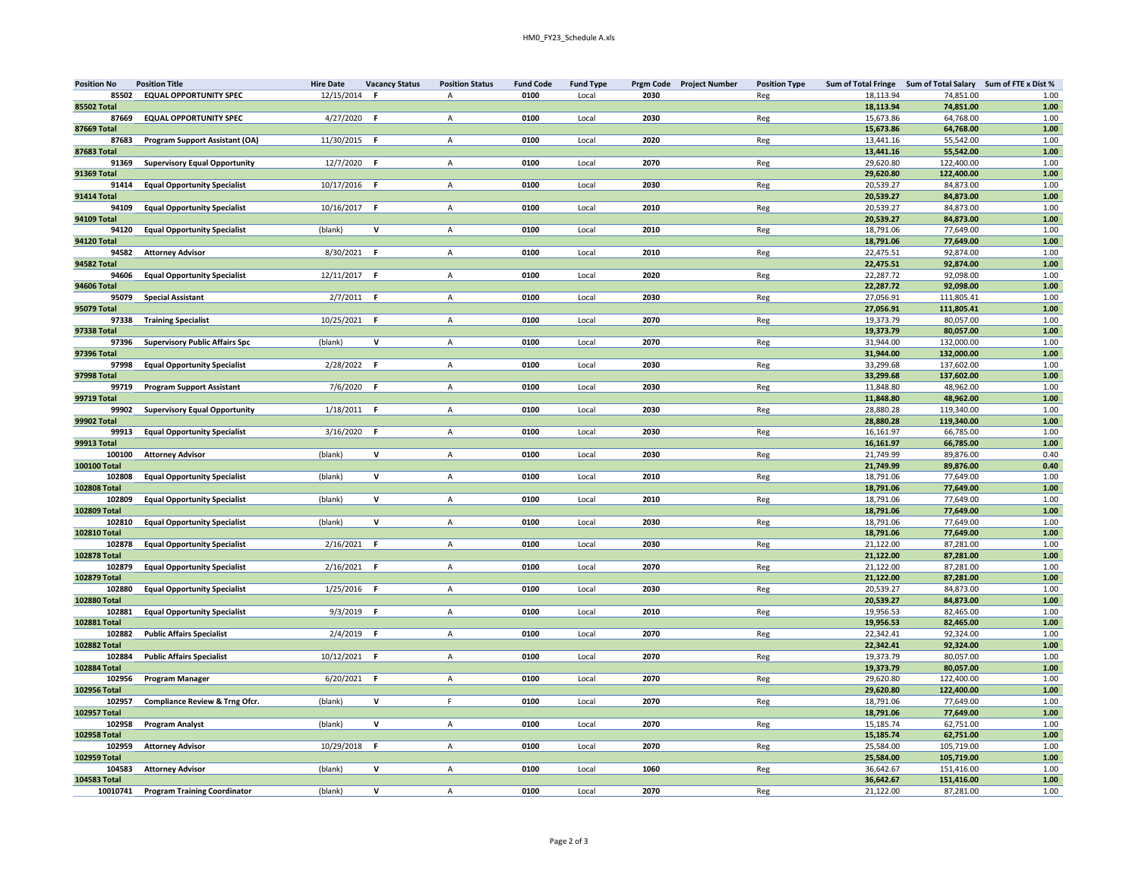| <b>Position No</b> | <b>Position Title</b>                 | <b>Hire Date</b> | <b>Vacancy Status</b> | <b>Position Status</b> | <b>Fund Code</b> | <b>Fund Type</b> | Prgm Code Project Number | <b>Position Type</b> | Sum of Total Fringe Sum of Total Salary Sum of FTE x Dist % |            |          |
|--------------------|---------------------------------------|------------------|-----------------------|------------------------|------------------|------------------|--------------------------|----------------------|-------------------------------------------------------------|------------|----------|
| 85502              | <b>EQUAL OPPORTUNITY SPEC</b>         | 12/15/2014       | F                     | $\overline{A}$         | 0100             | Local            | 2030                     | Reg                  | 18,113.94                                                   | 74,851.00  | 1.00     |
| <b>85502 Total</b> |                                       |                  |                       |                        |                  |                  |                          |                      | 18,113.94                                                   | 74,851.00  | $1.00\,$ |
| 87669              | <b>EQUAL OPPORTUNITY SPEC</b>         | 4/27/2020        | -F                    | $\mathsf{A}$           | 0100             | Local            | 2030                     | Reg                  | 15,673.86                                                   | 64,768.00  | 1.00     |
| 87669 Total        |                                       |                  |                       |                        |                  |                  |                          |                      | 15,673.86                                                   | 64,768.00  | $1.00\,$ |
| 87683              | Program Support Assistant (OA)        | 11/30/2015 F     |                       | A                      | 0100             | Local            | 2020                     | Reg                  | 13,441.16                                                   | 55,542.00  | 1.00     |
| 87683 Total        |                                       |                  |                       |                        |                  |                  |                          |                      | 13,441.16                                                   | 55,542.00  | $1.00\,$ |
| 91369              | <b>Supervisory Equal Opportunity</b>  | 12/7/2020        | F.                    | $\overline{A}$         | 0100             | Local            | 2070                     | Reg                  | 29,620.80                                                   | 122,400.00 | 1.00     |
| <b>91369 Total</b> |                                       |                  |                       |                        |                  |                  |                          |                      | 29,620.80                                                   | 122,400.00 | 1.00     |
| 91414              | <b>Equal Opportunity Specialist</b>   | 10/17/2016 F     |                       | $\overline{A}$         | 0100             | Local            | 2030                     | Reg                  | 20,539.27                                                   | 84,873.00  | 1.00     |
| <b>91414 Total</b> |                                       |                  |                       |                        |                  |                  |                          |                      | 20,539.27                                                   | 84,873.00  | $1.00\,$ |
| 94109              | <b>Equal Opportunity Specialist</b>   | 10/16/2017 F     |                       | A                      | 0100             | Local            | 2010                     | Reg                  | 20,539.27                                                   | 84,873.00  | 1.00     |
| 94109 Total        |                                       |                  |                       |                        |                  |                  |                          |                      | 20,539.27                                                   | 84,873.00  | $1.00\,$ |
| 94120              | <b>Equal Opportunity Specialist</b>   | (blank)          | $\mathsf{v}$          | A                      | 0100             | Local            | 2010                     | Reg                  | 18,791.06                                                   | 77,649.00  | 1.00     |
| <b>94120 Total</b> |                                       |                  |                       |                        |                  |                  |                          |                      | 18,791.06                                                   | 77,649.00  | 1.00     |
| 94582              | <b>Attorney Advisor</b>               | 8/30/2021        | F.                    | $\mathsf{A}$           | 0100             | Local            | 2010                     | Reg                  | 22,475.51                                                   | 92,874.00  | 1.00     |
| 94582 Total        |                                       |                  |                       |                        |                  |                  |                          |                      | 22,475.51                                                   | 92,874.00  | $1.00\,$ |
| 94606              | <b>Equal Opportunity Specialist</b>   | 12/11/2017 F     |                       | A                      | 0100             | Local            | 2020                     | Reg                  | 22,287.72                                                   | 92,098.00  | 1.00     |
| <b>94606 Total</b> |                                       |                  |                       |                        |                  |                  |                          |                      | 22,287.72                                                   | 92,098.00  | 1.00     |
| 95079              | <b>Special Assistant</b>              | 2/7/2011         | F.                    | $\mathsf{A}$           | 0100             | Local            | 2030                     | Reg                  | 27,056.91                                                   | 111,805.41 | 1.00     |
| 95079 Total        |                                       |                  |                       |                        |                  |                  |                          |                      | 27,056.91                                                   | 111,805.41 | $1.00\,$ |
| 97338              | <b>Training Specialist</b>            | 10/25/2021       | - F                   | A                      | 0100             | Local            | 2070                     | Reg                  | 19,373.79                                                   | 80,057.00  | 1.00     |
| 97338 Total        |                                       |                  |                       |                        |                  |                  |                          |                      | 19,373.79                                                   | 80,057.00  | 1.00     |
| 97396              | <b>Supervisory Public Affairs Spc</b> | (blank)          | $\mathsf{v}$          | $\mathsf{A}$           | 0100             | Local            | 2070                     | Reg                  | 31,944.00                                                   | 132,000.00 | 1.00     |
| 97396 Total        |                                       |                  |                       |                        |                  |                  |                          |                      | 31,944.00                                                   | 132,000.00 | $1.00\,$ |
| 97998              | <b>Equal Opportunity Specialist</b>   | 2/28/2022        | F.                    | $\mathsf{A}$           | 0100             | Local            | 2030                     | Reg                  | 33,299.68                                                   | 137,602.00 | 1.00     |
| 97998 Total        |                                       |                  |                       |                        |                  |                  |                          |                      | 33.299.68                                                   | 137.602.00 | $1.00\,$ |
| 99719              | <b>Program Support Assistant</b>      | 7/6/2020         | -F                    | $\mathsf{A}$           | 0100             | Local            | 2030                     | Reg                  | 11,848.80                                                   | 48,962.00  | 1.00     |
| 99719 Total        |                                       |                  |                       |                        |                  |                  |                          |                      | 11,848.80                                                   | 48,962.00  | $1.00\,$ |
| 99902              | <b>Supervisory Equal Opportunity</b>  | $1/18/2011$ F    |                       | A                      | 0100             | Local            | 2030                     | Reg                  | 28,880.28                                                   | 119,340.00 | 1.00     |
| 99902 Total        |                                       |                  |                       |                        |                  |                  |                          |                      | 28,880.28                                                   | 119,340.00 | $1.00\,$ |
| 99913              | <b>Equal Opportunity Specialist</b>   | 3/16/2020        | F.                    | $\mathsf{A}$           | 0100             | Local            | 2030                     | Reg                  | 16,161.97                                                   | 66,785.00  | 1.00     |
| <b>99913 Total</b> |                                       |                  |                       |                        |                  |                  |                          |                      | 16,161.97                                                   | 66,785.00  | 1.00     |
| 100100             | <b>Attorney Advisor</b>               | (blank)          | $\mathsf{v}$          | $\mathsf{A}$           | 0100             | Local            | 2030                     | Reg                  | 21,749.99                                                   | 89,876.00  | 0.40     |
| 100100 Total       |                                       |                  |                       |                        |                  |                  |                          |                      | 21,749.99                                                   | 89,876.00  | 0.40     |
| 102808             | <b>Equal Opportunity Specialist</b>   | (blank)          | $\mathbf{V}$          | $\overline{A}$         | 0100             | Local            | 2010                     | Reg                  | 18.791.06                                                   | 77.649.00  | 1.00     |
| 102808 Total       |                                       |                  |                       |                        |                  |                  |                          |                      | 18,791.06                                                   | 77,649.00  | $1.00\,$ |
| 102809             | <b>Equal Opportunity Specialist</b>   | (blank)          | $\mathsf{v}$          | $\mathsf{A}$           | 0100             | Local            | 2010                     | Reg                  | 18,791.06                                                   | 77,649.00  | 1.00     |
| 102809 Total       |                                       |                  |                       |                        |                  |                  |                          |                      | 18,791.06                                                   | 77,649.00  | $1.00\,$ |
| 102810             | <b>Equal Opportunity Specialist</b>   | (blank)          | $\mathsf{v}$          | A                      | 0100             | Local            | 2030                     | Reg                  | 18,791.06                                                   | 77,649.00  | 1.00     |
| 102810 Total       |                                       |                  |                       |                        |                  |                  |                          |                      | 18,791.06                                                   | 77,649.00  | $1.00\,$ |
| 102878             | <b>Equal Opportunity Specialist</b>   | 2/16/2021        | -F                    | $\mathsf{A}$           | 0100             | Local            | 2030                     | Reg                  | 21.122.00                                                   | 87.281.00  | 1.00     |
| 102878 Total       |                                       |                  |                       |                        |                  |                  |                          |                      | 21,122.00                                                   | 87,281.00  | 1.00     |
| 102879             | <b>Equal Opportunity Specialist</b>   | 2/16/2021        | -F                    | A                      | 0100             | Local            | 2070                     | Reg                  | 21,122.00                                                   | 87,281.00  | 1.00     |
| 102879 Total       |                                       |                  |                       |                        |                  |                  |                          |                      | 21.122.00                                                   | 87.281.00  | $1.00\,$ |
| 102880             | <b>Equal Opportunity Specialist</b>   | 1/25/2016        | - F                   | $\mathsf{A}$           | 0100             | Local            | 2030                     | Reg                  | 20,539.27                                                   | 84,873.00  | 1.00     |
| 102880 Total       |                                       |                  |                       |                        |                  |                  |                          |                      | 20,539.27                                                   | 84,873.00  | $1.00\,$ |
| 102881             | <b>Equal Opportunity Specialist</b>   | 9/3/2019 F       |                       | $\mathsf{A}$           | 0100             | Local            | 2010                     | Reg                  | 19,956.53                                                   | 82,465.00  | 1.00     |
| 102881 Total       |                                       |                  |                       |                        |                  |                  |                          |                      | 19,956.53                                                   | 82,465.00  | $1.00\,$ |
| 102882             | <b>Public Affairs Specialist</b>      | 2/4/2019         | F.                    | $\mathsf{A}$           | 0100             | Local            | 2070                     | Reg                  | 22,342.41                                                   | 92,324.00  | 1.00     |
| 102882 Total       |                                       |                  |                       |                        |                  |                  |                          |                      | 22,342.41                                                   | 92.324.00  | 1.00     |
| 102884             | <b>Public Affairs Specialist</b>      | 10/12/2021       | F                     | $\mathsf{A}$           | 0100             | Local            | 2070                     | Reg                  | 19,373.79                                                   | 80,057.00  | 1.00     |
| 102884 Total       |                                       |                  |                       |                        |                  |                  |                          |                      | 19,373.79                                                   | 80,057.00  | $1.00\,$ |
| 102956             | <b>Program Manager</b>                | 6/20/2021 F      |                       | $\mathsf{A}$           | 0100             | Local            | 2070                     | Reg                  | 29,620.80                                                   | 122,400.00 | 1.00     |
| 102956 Total       |                                       |                  |                       |                        |                  |                  |                          |                      | 29,620.80                                                   | 122,400.00 | $1.00\,$ |
| 102957             | Compliance Review & Trng Ofcr.        | (blank)          | ${\mathsf v}$         | F.                     | 0100             | Local            | 2070                     | Reg                  | 18,791.06                                                   | 77,649.00  | 1.00     |
| 102957 Total       |                                       |                  |                       |                        |                  |                  |                          |                      | 18,791.06                                                   | 77,649.00  | $1.00\,$ |
| 102958             | <b>Program Analyst</b>                | (blank)          | $\mathsf{v}$          | $\mathsf{A}$           | 0100             | Local            | 2070                     | Reg                  | 15,185.74                                                   | 62,751.00  | 1.00     |
| 102958 Total       |                                       |                  |                       |                        |                  |                  |                          |                      | 15,185.74                                                   | 62,751.00  | $1.00\,$ |
| 102959             | <b>Attorney Advisor</b>               | 10/29/2018       | - F                   | $\mathsf{A}$           | 0100             | Local            | 2070                     | Reg                  | 25.584.00                                                   | 105,719.00 | 1.00     |
| 102959 Total       |                                       |                  |                       |                        |                  |                  |                          |                      | 25,584.00                                                   | 105,719.00 | 1.00     |
| 104583             | <b>Attorney Advisor</b>               | (blank)          | V                     | A                      | 0100             | Local            | 1060                     | Reg                  | 36,642.67                                                   | 151,416.00 | 1.00     |
| 104583 Total       |                                       |                  |                       |                        |                  |                  |                          |                      | 36,642.67                                                   | 151,416.00 | $1.00\,$ |
| 10010741           | <b>Program Training Coordinator</b>   | (blank)          | $\mathsf{V}$          | A                      | 0100             | Local            | 2070                     | Reg                  | 21,122.00                                                   | 87,281.00  | 1.00     |